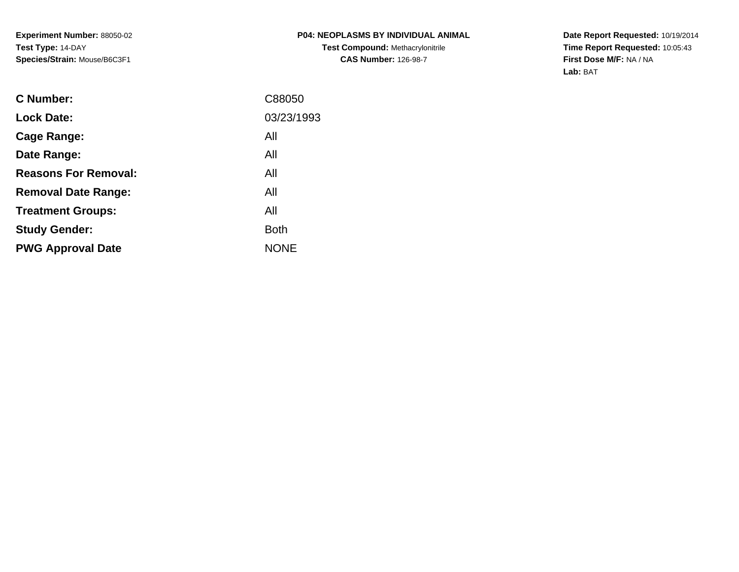**Date Report Requested:** 10/19/2014 **Time Report Requested:** 10:05:43**First Dose M/F:** NA / NA**Lab:** BAT

| C Number:                   | C88050      |
|-----------------------------|-------------|
| <b>Lock Date:</b>           | 03/23/1993  |
| Cage Range:                 | All         |
| Date Range:                 | All         |
| <b>Reasons For Removal:</b> | All         |
| <b>Removal Date Range:</b>  | All         |
| <b>Treatment Groups:</b>    | All         |
| <b>Study Gender:</b>        | <b>Both</b> |
| <b>PWG Approval Date</b>    | <b>NONE</b> |
|                             |             |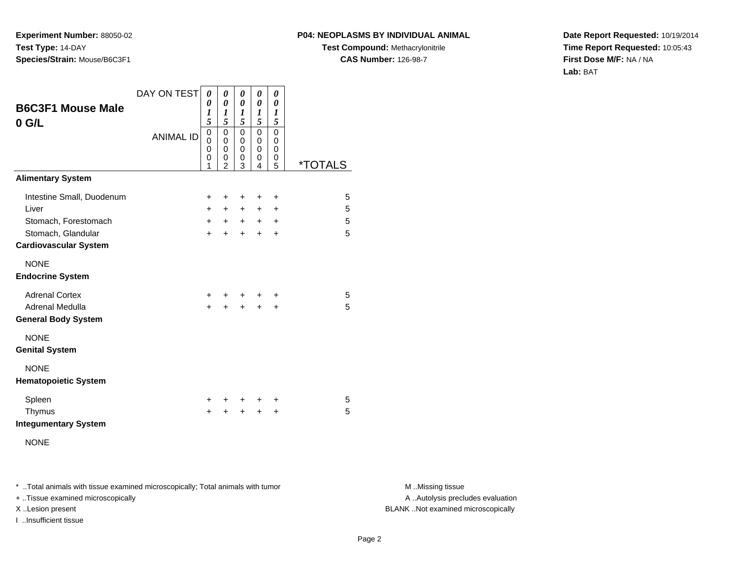#### **P04: NEOPLASMS BY INDIVIDUAL ANIMAL**

**Test Compound:** Methacrylonitrile**CAS Number:** 126-98-7

**Date Report Requested:** 10/19/2014**Time Report Requested:** 10:05:43**First Dose M/F:** NA / NA**Lab:** BAT

| <b>B6C3F1 Mouse Male</b><br>$0$ G/L                | DAY ON TEST      | $\boldsymbol{\theta}$<br>0<br>$\boldsymbol{l}$<br>5        | 0<br>$\boldsymbol{\theta}$<br>$\boldsymbol{l}$<br>5 | 0<br>$\boldsymbol{\theta}$<br>1<br>5      | 0<br>0<br>1<br>5                | 0<br>0<br>1<br>5                |                       |
|----------------------------------------------------|------------------|------------------------------------------------------------|-----------------------------------------------------|-------------------------------------------|---------------------------------|---------------------------------|-----------------------|
|                                                    | <b>ANIMAL ID</b> | $\mathbf 0$<br>$\mathbf 0$<br>$\Omega$<br>$\mathbf 0$<br>1 | 0<br>$\mathbf 0$<br>$\mathbf 0$<br>0<br>2           | $\mathbf 0$<br>$\mathbf 0$<br>0<br>0<br>3 | $\mathbf 0$<br>0<br>0<br>0<br>4 | $\mathbf 0$<br>0<br>0<br>0<br>5 | <i><b>*TOTALS</b></i> |
| <b>Alimentary System</b>                           |                  |                                                            |                                                     |                                           |                                 |                                 |                       |
| Intestine Small, Duodenum                          |                  | $\ddot{}$                                                  | +                                                   | +                                         | +                               | +                               | 5                     |
| Liver                                              |                  | $+$                                                        | $+$                                                 | $+$                                       | $\ddot{}$                       | $\ddot{}$                       | 5                     |
| Stomach, Forestomach                               |                  | $+$                                                        | $+$                                                 | $+$                                       |                                 | $+$ $+$                         | 5                     |
| Stomach, Glandular<br><b>Cardiovascular System</b> |                  | $+$                                                        | $+$                                                 | $+$                                       | $\ddot{}$                       | $\ddot{}$                       | 5                     |
| <b>NONE</b><br><b>Endocrine System</b>             |                  |                                                            |                                                     |                                           |                                 |                                 |                       |
| <b>Adrenal Cortex</b>                              |                  | $\pm$                                                      | ÷.                                                  |                                           |                                 | +                               | 5                     |
| Adrenal Medulla<br><b>General Body System</b>      |                  | $\ddot{}$                                                  | +                                                   | $\ddot{}$                                 | $\ddot{}$                       | +                               | 5                     |
| <b>NONE</b><br><b>Genital System</b>               |                  |                                                            |                                                     |                                           |                                 |                                 |                       |
| <b>NONE</b><br><b>Hematopoietic System</b>         |                  |                                                            |                                                     |                                           |                                 |                                 |                       |
| Spleen                                             |                  | ÷                                                          | +                                                   | $\ddot{}$                                 | ÷                               | ÷                               | 5                     |
| Thymus<br><b>Integumentary System</b>              |                  | ÷                                                          | +                                                   | $\ddot{}$                                 | ÷                               | +                               | 5                     |
| <b>NONE</b>                                        |                  |                                                            |                                                     |                                           |                                 |                                 |                       |

\* ..Total animals with tissue examined microscopically; Total animals with tumor **M** . Missing tissue M ..Missing tissue

+ ..Tissue examined microscopically

I ..Insufficient tissue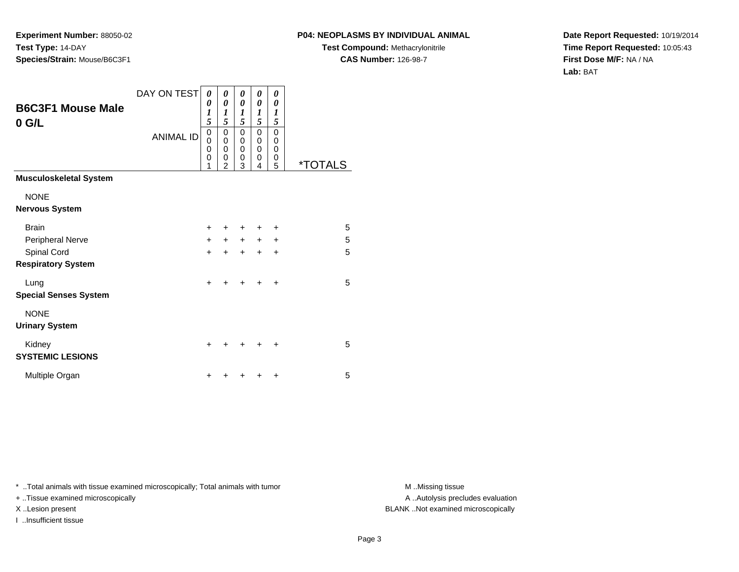## **P04: NEOPLASMS BY INDIVIDUAL ANIMAL**

**Test Compound:** Methacrylonitrile**CAS Number:** 126-98-7

**Date Report Requested:** 10/19/2014**Time Report Requested:** 10:05:43**First Dose M/F:** NA / NA**Lab:** BAT

| <b>B6C3F1 Mouse Male</b><br>$0$ G/L      | DAY ON TEST      | 0<br>0<br>1<br>5                       | 0<br>0<br>1<br>5                                       | 0<br>0<br>$\boldsymbol{l}$<br>5 | 0<br>0<br>1<br>5                              | 0<br>0<br>1<br>5      |                       |
|------------------------------------------|------------------|----------------------------------------|--------------------------------------------------------|---------------------------------|-----------------------------------------------|-----------------------|-----------------------|
|                                          | <b>ANIMAL ID</b> | $\mathbf 0$<br>$\Omega$<br>0<br>0<br>1 | $\mathbf 0$<br>$\mathbf 0$<br>0<br>0<br>$\overline{2}$ | 0<br>0<br>0<br>0<br>3           | 0<br>$\Omega$<br>$\Omega$<br>$\mathbf 0$<br>4 | 0<br>0<br>0<br>0<br>5 | <i><b>*TOTALS</b></i> |
| <b>Musculoskeletal System</b>            |                  |                                        |                                                        |                                 |                                               |                       |                       |
| <b>NONE</b><br><b>Nervous System</b>     |                  |                                        |                                                        |                                 |                                               |                       |                       |
| <b>Brain</b>                             |                  | $\ddot{}$                              |                                                        | ٠                               | ٠                                             | ٠                     | 5                     |
| Peripheral Nerve                         |                  | $+$                                    | $+$                                                    | $+$                             | $+$                                           | $\ddot{}$             | 5                     |
| Spinal Cord<br><b>Respiratory System</b> |                  | $\ddot{}$                              | +                                                      | $\ddot{}$                       | $\ddot{}$                                     | $\ddot{}$             | 5                     |
| Lung<br><b>Special Senses System</b>     |                  | $\ddot{}$                              |                                                        | +                               | +                                             | $\ddot{}$             | 5                     |
| <b>NONE</b><br><b>Urinary System</b>     |                  |                                        |                                                        |                                 |                                               |                       |                       |
| Kidney<br><b>SYSTEMIC LESIONS</b>        |                  | +                                      |                                                        | +                               |                                               | +                     | 5                     |
| Multiple Organ                           |                  | +                                      |                                                        |                                 |                                               | ٠                     | 5                     |

\* ..Total animals with tissue examined microscopically; Total animals with tumor **M** . Missing tissue M ..Missing tissue

+ ..Tissue examined microscopically

I ..Insufficient tissue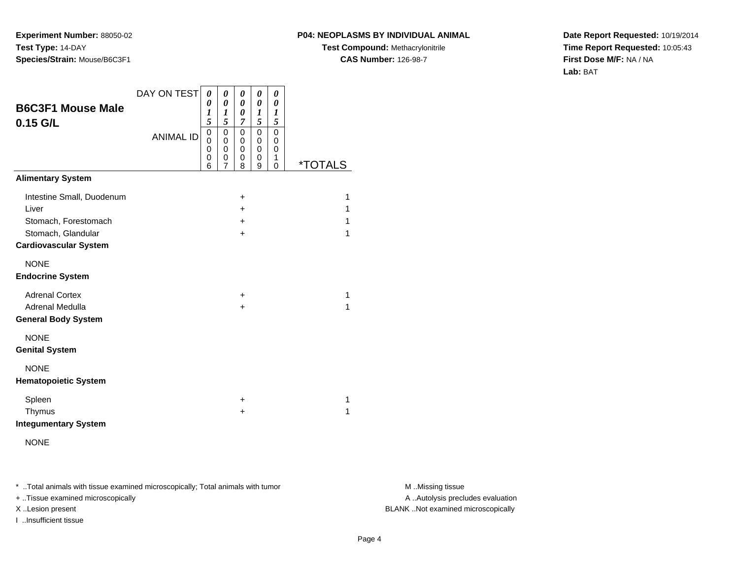#### **P04: NEOPLASMS BY INDIVIDUAL ANIMAL**

**Test Compound:** Methacrylonitrile**CAS Number:** 126-98-7

**Date Report Requested:** 10/19/2014**Time Report Requested:** 10:05:43**First Dose M/F:** NA / NA**Lab:** BAT

| <b>B6C3F1 Mouse Male</b><br>$0.15$ G/L                                                                           | DAY ON TEST<br><b>ANIMAL ID</b> | 0<br>$\boldsymbol{\theta}$<br>1<br>5<br>$\mathbf 0$<br>0<br>0<br>0<br>6 | 0<br>$\boldsymbol{\theta}$<br>1<br>5<br>$\mathbf 0$<br>0<br>0<br>0<br>7 | 0<br>0<br>0<br>7<br>$\mathbf 0$<br>0<br>0<br>0<br>8 | 0<br>0<br>1<br>5<br>$\mathbf 0$<br>0<br>0<br>0<br>9 | 0<br>0<br>1<br>5<br>$\mathbf 0$<br>0<br>0<br>1<br>0 | *TOTALS          |
|------------------------------------------------------------------------------------------------------------------|---------------------------------|-------------------------------------------------------------------------|-------------------------------------------------------------------------|-----------------------------------------------------|-----------------------------------------------------|-----------------------------------------------------|------------------|
| <b>Alimentary System</b>                                                                                         |                                 |                                                                         |                                                                         |                                                     |                                                     |                                                     |                  |
| Intestine Small, Duodenum<br>Liver<br>Stomach, Forestomach<br>Stomach, Glandular<br><b>Cardiovascular System</b> |                                 |                                                                         |                                                                         | ÷<br>$\pm$<br>÷<br>$\ddot{}$                        |                                                     |                                                     | 1<br>1<br>1<br>1 |
| <b>NONE</b><br><b>Endocrine System</b>                                                                           |                                 |                                                                         |                                                                         |                                                     |                                                     |                                                     |                  |
| <b>Adrenal Cortex</b><br>Adrenal Medulla<br><b>General Body System</b>                                           |                                 |                                                                         |                                                                         | +<br>+                                              |                                                     |                                                     | 1<br>1           |
| <b>NONE</b><br><b>Genital System</b>                                                                             |                                 |                                                                         |                                                                         |                                                     |                                                     |                                                     |                  |
| <b>NONE</b><br><b>Hematopoietic System</b>                                                                       |                                 |                                                                         |                                                                         |                                                     |                                                     |                                                     |                  |
| Spleen<br>Thymus<br><b>Integumentary System</b>                                                                  |                                 |                                                                         |                                                                         | +<br>+                                              |                                                     |                                                     | 1<br>1           |

NONE

\* ..Total animals with tissue examined microscopically; Total animals with tumor **M** . Missing tissue M ..Missing tissue

+ ..Tissue examined microscopically

I ..Insufficient tissue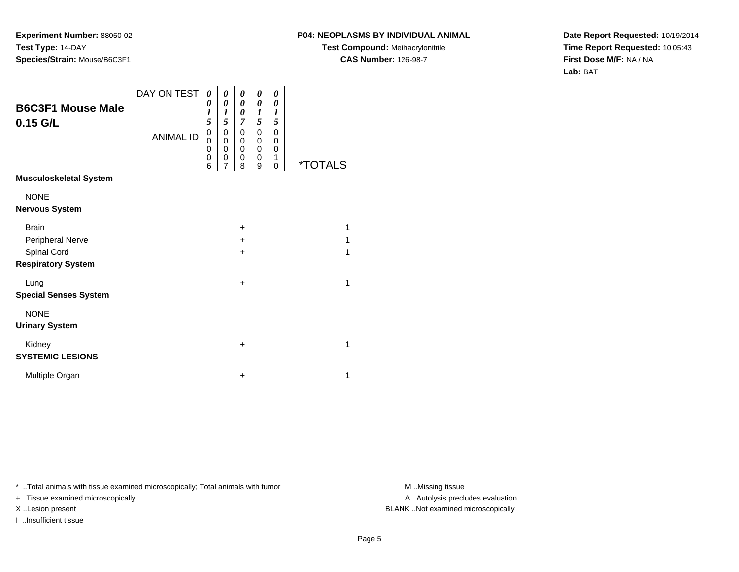#### **P04: NEOPLASMS BY INDIVIDUAL ANIMAL**

**Test Compound:** Methacrylonitrile**CAS Number:** 126-98-7

**Date Report Requested:** 10/19/2014**Time Report Requested:** 10:05:43**First Dose M/F:** NA / NA**Lab:** BAT

| <b>B6C3F1 Mouse Male</b><br>$0.15$ G/L                                       | DAY ON TEST<br><b>ANIMAL ID</b> | 0<br>0<br>1<br>5<br>0<br>0<br>0<br>0<br>6 | 0<br>$\boldsymbol{\theta}$<br>$\boldsymbol{l}$<br>5<br>0<br>0<br>$\mathbf 0$<br>0<br>$\overline{7}$ | 0<br>$\boldsymbol{\theta}$<br>0<br>7<br>0<br>0<br>0<br>0<br>8 | 0<br>$\theta$<br>1<br>5<br>$\mathbf 0$<br>0<br>0<br>0<br>9 | 0<br>0<br>$\boldsymbol{l}$<br>5<br>$\mathbf 0$<br>0<br>$\mathbf 0$<br>1<br>0 | <i><b>*TOTALS</b></i> |
|------------------------------------------------------------------------------|---------------------------------|-------------------------------------------|-----------------------------------------------------------------------------------------------------|---------------------------------------------------------------|------------------------------------------------------------|------------------------------------------------------------------------------|-----------------------|
| <b>Musculoskeletal System</b>                                                |                                 |                                           |                                                                                                     |                                                               |                                                            |                                                                              |                       |
| <b>NONE</b><br><b>Nervous System</b>                                         |                                 |                                           |                                                                                                     |                                                               |                                                            |                                                                              |                       |
| <b>Brain</b><br>Peripheral Nerve<br>Spinal Cord<br><b>Respiratory System</b> |                                 |                                           |                                                                                                     | $\ddot{}$<br>$\ddot{}$<br>$\ddot{}$                           |                                                            |                                                                              | 1<br>1<br>1           |
| Lung<br><b>Special Senses System</b>                                         |                                 |                                           |                                                                                                     | $\ddot{}$                                                     |                                                            |                                                                              | 1                     |
| <b>NONE</b><br><b>Urinary System</b>                                         |                                 |                                           |                                                                                                     |                                                               |                                                            |                                                                              |                       |
| Kidney<br><b>SYSTEMIC LESIONS</b>                                            |                                 |                                           |                                                                                                     | $\ddot{}$                                                     |                                                            |                                                                              | 1                     |
| Multiple Organ                                                               |                                 |                                           |                                                                                                     | $\ddot{}$                                                     |                                                            |                                                                              | 1                     |

\* ..Total animals with tissue examined microscopically; Total animals with tumor **M** . Missing tissue M ..Missing tissue

+ ..Tissue examined microscopically

I ..Insufficient tissue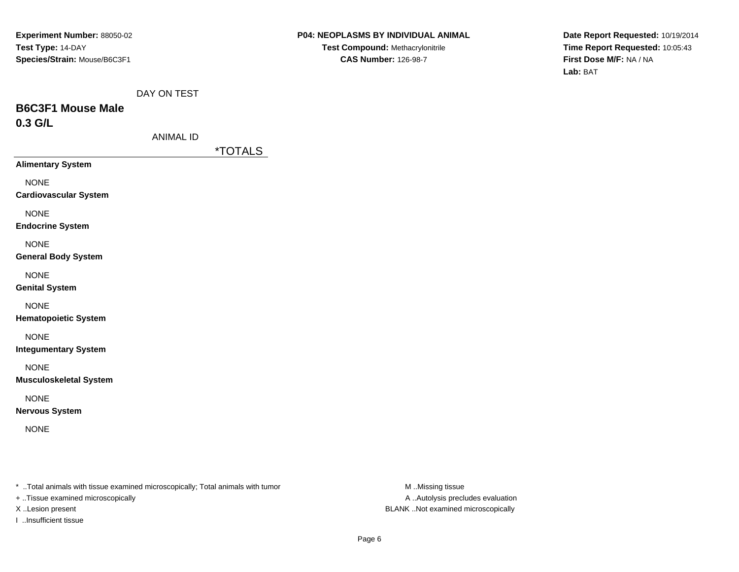**Date Report Requested:** 10/19/2014**Time Report Requested:** 10:05:43**First Dose M/F:** NA / NA**Lab:** BAT

|  |  | DAY ON TEST |
|--|--|-------------|
|--|--|-------------|

# **B6C3F1 Mouse Male0.3 G/L**

| ANIMAL ID |  |
|-----------|--|
|-----------|--|

\*TOTALS

**Alimentary System**

NONE

**Cardiovascular System**

NONE

**Endocrine System**

NONE

**General Body System**

NONE

**Genital System**

NONE

**Hematopoietic System**

NONE

**Integumentary System**

NONE

**Musculoskeletal System**

NONE

**Nervous System**

NONE

\* ..Total animals with tissue examined microscopically; Total animals with tumor **M** ..Missing tissue M ..Missing tissue

+ ..Tissue examined microscopically

I ..Insufficient tissue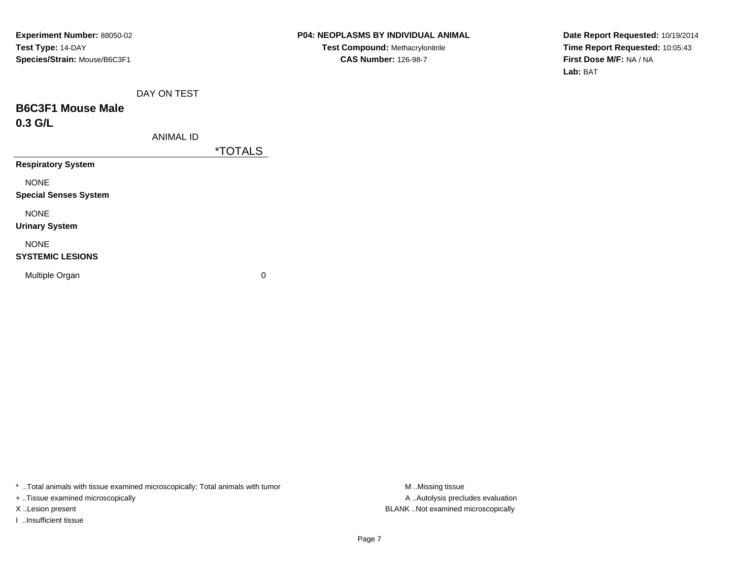**Date Report Requested:** 10/19/2014**Time Report Requested:** 10:05:43**First Dose M/F:** NA / NA**Lab:** BAT

|  | DAY ON TEST |
|--|-------------|
|  |             |

# **B6C3F1 Mouse Male0.3 G/L**

|  | ANIMAL ID |
|--|-----------|
|--|-----------|

\*TOTALS

**Respiratory System**

NONE

**Special Senses System**

NONE

**Urinary System**

## NONE

#### **SYSTEMIC LESIONS**

Multiple Organ

 $\mathbf n$  0

\* ..Total animals with tissue examined microscopically; Total animals with tumor **M** ...Missing tissue M ...Missing tissue

+ ..Tissue examined microscopically

I ..Insufficient tissue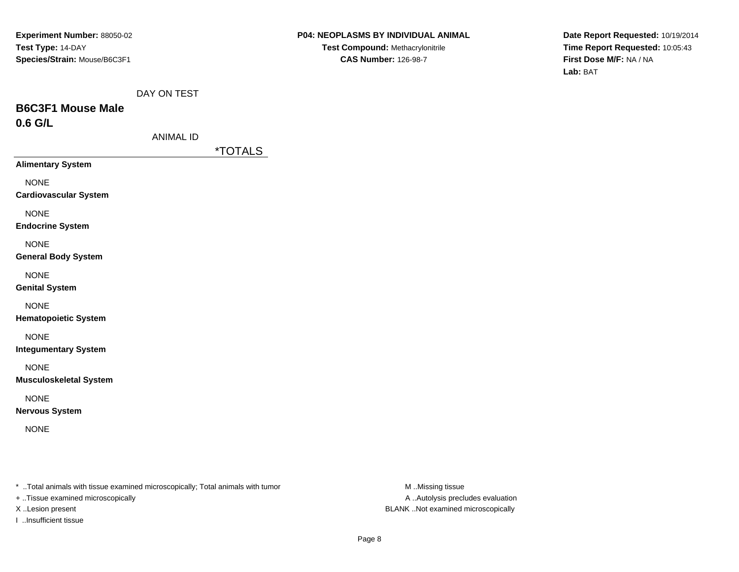**Date Report Requested:** 10/19/2014**Time Report Requested:** 10:05:43**First Dose M/F:** NA / NA**Lab:** BAT

|  |  | DAY ON TEST |
|--|--|-------------|
|--|--|-------------|

# **B6C3F1 Mouse Male0.6 G/L**

| ANIMAL ID |  |
|-----------|--|
|-----------|--|

\*TOTALS

**Alimentary System**

NONE

**Cardiovascular System**

NONE

**Endocrine System**

NONE

**General Body System**

NONE

**Genital System**

NONE

**Hematopoietic System**

NONE

**Integumentary System**

NONE

**Musculoskeletal System**

NONE

**Nervous System**

NONE

\* ..Total animals with tissue examined microscopically; Total animals with tumor **M** ..Missing tissue M ..Missing tissue

+ ..Tissue examined microscopically

I ..Insufficient tissue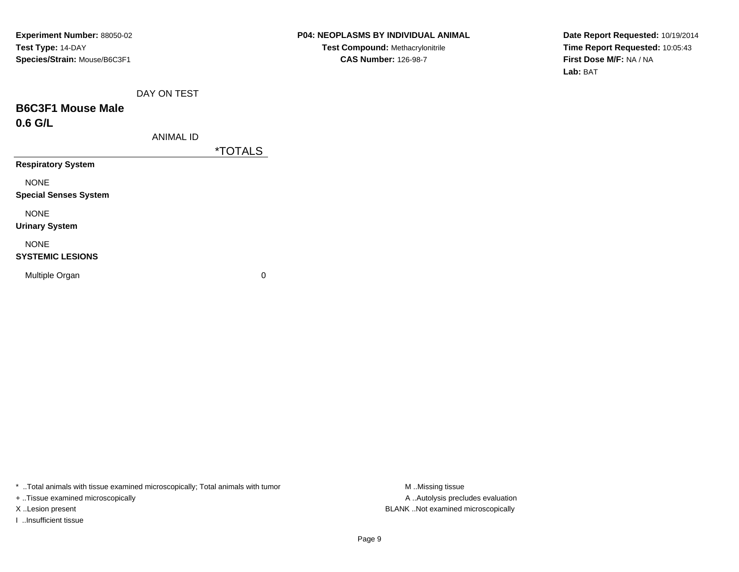**Date Report Requested:** 10/19/2014**Time Report Requested:** 10:05:43**First Dose M/F:** NA / NA**Lab:** BAT

# **B6C3F1 Mouse Male0.6 G/L**

| ANIMAL ID |
|-----------|
|-----------|

\*TOTALS

**Respiratory System**

NONE

**Special Senses System**

NONE

**Urinary System**

## NONE

#### **SYSTEMIC LESIONS**

Multiple Organ

 $\mathbf n$  0

\* ..Total animals with tissue examined microscopically; Total animals with tumor **M** ...Missing tissue M ...Missing tissue

+ ..Tissue examined microscopically

I ..Insufficient tissue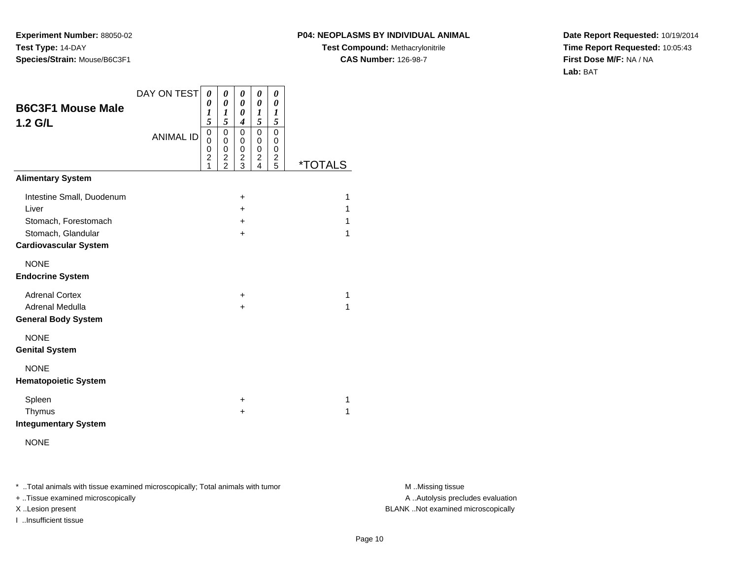#### **P04: NEOPLASMS BY INDIVIDUAL ANIMAL**

**Test Compound:** Methacrylonitrile**CAS Number:** 126-98-7

**Date Report Requested:** 10/19/2014**Time Report Requested:** 10:05:43**First Dose M/F:** NA / NA**Lab:** BAT

| <b>B6C3F1 Mouse Male</b><br>1.2 G/L                                                                              | DAY ON TEST<br><b>ANIMAL ID</b> | 0<br>0<br>1<br>5<br>$\mathbf 0$<br>$\mathbf 0$<br>0<br>$\overline{2}$<br>1 | 0<br>$\boldsymbol{\theta}$<br>$\boldsymbol{l}$<br>5<br>$\mathbf 0$<br>$\mathbf 0$<br>0<br>$\overline{c}$<br>$\overline{2}$ | 0<br>0<br>0<br>4<br>0<br>0<br>0<br>$\overline{\mathbf{c}}$<br>3 | 0<br>0<br>1<br>5<br>$\mathbf 0$<br>0<br>0<br>2<br>4 | 0<br>0<br>$\boldsymbol{l}$<br>5<br>$\mathbf 0$<br>0<br>0<br>$\frac{2}{5}$ | <i><b>*TOTALS</b></i> |
|------------------------------------------------------------------------------------------------------------------|---------------------------------|----------------------------------------------------------------------------|----------------------------------------------------------------------------------------------------------------------------|-----------------------------------------------------------------|-----------------------------------------------------|---------------------------------------------------------------------------|-----------------------|
| <b>Alimentary System</b>                                                                                         |                                 |                                                                            |                                                                                                                            |                                                                 |                                                     |                                                                           |                       |
| Intestine Small, Duodenum<br>Liver<br>Stomach, Forestomach<br>Stomach, Glandular<br><b>Cardiovascular System</b> |                                 |                                                                            |                                                                                                                            | $\ddot{}$<br>$\ddot{}$<br>$\ddot{}$<br>$\ddot{}$                |                                                     |                                                                           | 1<br>1<br>1<br>1      |
| <b>NONE</b><br><b>Endocrine System</b>                                                                           |                                 |                                                                            |                                                                                                                            |                                                                 |                                                     |                                                                           |                       |
| <b>Adrenal Cortex</b><br>Adrenal Medulla<br><b>General Body System</b>                                           |                                 |                                                                            |                                                                                                                            | $\ddot{}$<br>$\ddot{}$                                          |                                                     |                                                                           | 1<br>1                |
| <b>NONE</b><br><b>Genital System</b>                                                                             |                                 |                                                                            |                                                                                                                            |                                                                 |                                                     |                                                                           |                       |
| <b>NONE</b><br><b>Hematopoietic System</b>                                                                       |                                 |                                                                            |                                                                                                                            |                                                                 |                                                     |                                                                           |                       |
| Spleen<br>Thymus<br><b>Integumentary System</b>                                                                  |                                 |                                                                            |                                                                                                                            | $\ddot{}$<br>+                                                  |                                                     |                                                                           | 1<br>1                |

NONE

\* ..Total animals with tissue examined microscopically; Total animals with tumor **M** . Missing tissue M ..Missing tissue

+ ..Tissue examined microscopically

I ..Insufficient tissue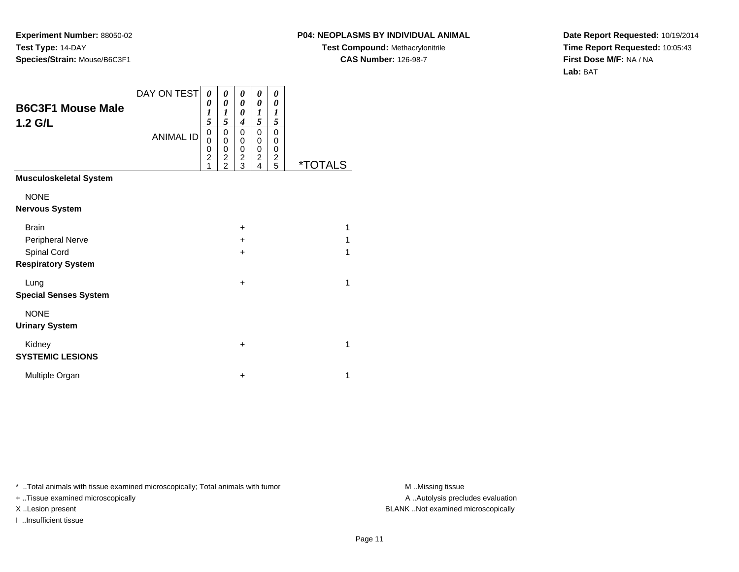#### **P04: NEOPLASMS BY INDIVIDUAL ANIMAL**

**Test Compound:** Methacrylonitrile**CAS Number:** 126-98-7

**Date Report Requested:** 10/19/2014**Time Report Requested:** 10:05:43**First Dose M/F:** NA / NA**Lab:** BAT

| <b>B6C3F1 Mouse Male</b><br>1.2 G/L             | DAY ON TEST<br><b>ANIMAL ID</b> | 0<br>0<br>1<br>5<br>0<br>0<br>0<br>$\overline{c}$<br>1 | 0<br>0<br>1<br>5<br>0<br>0<br>0<br>$\overline{\mathbf{c}}$<br>$\overline{2}$ | 0<br>0<br>0<br>$\boldsymbol{4}$<br>0<br>$\mathbf 0$<br>0<br>$\frac{2}{3}$ | 0<br>$\boldsymbol{\theta}$<br>1<br>5<br>0<br>0<br>0<br>$\overline{\mathbf{c}}$<br>4 | 0<br>0<br>$\boldsymbol{l}$<br>5<br>0<br>0<br>0<br>$\overline{\mathbf{c}}$<br>5 | <i><b>*TOTALS</b></i> |
|-------------------------------------------------|---------------------------------|--------------------------------------------------------|------------------------------------------------------------------------------|---------------------------------------------------------------------------|-------------------------------------------------------------------------------------|--------------------------------------------------------------------------------|-----------------------|
| <b>Musculoskeletal System</b>                   |                                 |                                                        |                                                                              |                                                                           |                                                                                     |                                                                                |                       |
| <b>NONE</b><br><b>Nervous System</b>            |                                 |                                                        |                                                                              |                                                                           |                                                                                     |                                                                                |                       |
| <b>Brain</b><br>Peripheral Nerve<br>Spinal Cord |                                 |                                                        |                                                                              | $\ddot{}$<br>$\ddot{}$<br>$\ddot{}$                                       |                                                                                     |                                                                                | 1<br>1<br>1           |
| <b>Respiratory System</b>                       |                                 |                                                        |                                                                              |                                                                           |                                                                                     |                                                                                |                       |
| Lung<br><b>Special Senses System</b>            |                                 |                                                        |                                                                              | $\ddot{}$                                                                 |                                                                                     |                                                                                | 1                     |
| <b>NONE</b><br><b>Urinary System</b>            |                                 |                                                        |                                                                              |                                                                           |                                                                                     |                                                                                |                       |
| Kidney<br><b>SYSTEMIC LESIONS</b>               |                                 |                                                        |                                                                              | $\ddot{}$                                                                 |                                                                                     |                                                                                | 1                     |
| Multiple Organ                                  |                                 |                                                        |                                                                              | $\ddot{}$                                                                 |                                                                                     |                                                                                | 1                     |

\* ..Total animals with tissue examined microscopically; Total animals with tumor **M** . Missing tissue M ..Missing tissue

+ ..Tissue examined microscopically

I ..Insufficient tissue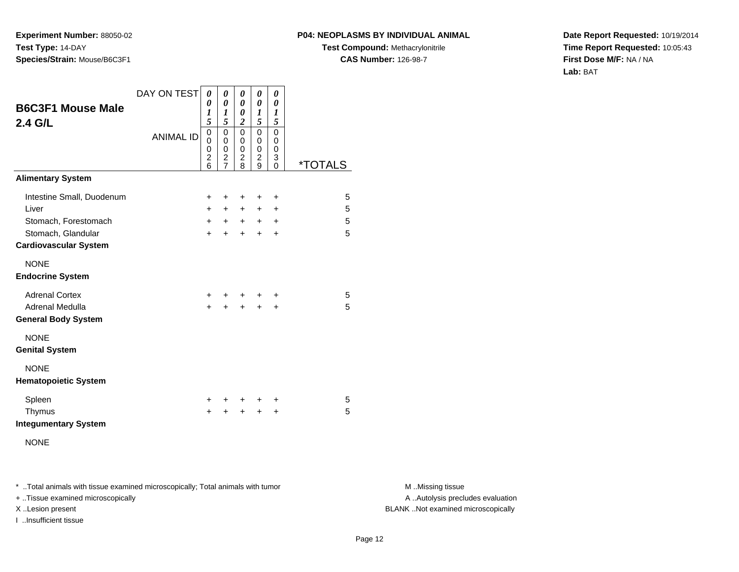#### **P04: NEOPLASMS BY INDIVIDUAL ANIMAL**

**Test Compound:** Methacrylonitrile**CAS Number:** 126-98-7

**Date Report Requested:** 10/19/2014**Time Report Requested:** 10:05:43**First Dose M/F:** NA / NA**Lab:** BAT

| <b>B6C3F1 Mouse Male</b>     | DAY ON TEST      | 0<br>0                                       | 0<br>$\boldsymbol{\theta}$                                  | 0<br>$\boldsymbol{\theta}$                   | 0<br>0                | 0<br>0                       |                       |
|------------------------------|------------------|----------------------------------------------|-------------------------------------------------------------|----------------------------------------------|-----------------------|------------------------------|-----------------------|
| 2.4 G/L                      |                  | 1<br>5                                       | 1<br>5                                                      | 0<br>$\boldsymbol{2}$                        | 1<br>5                | 1<br>5                       |                       |
|                              | <b>ANIMAL ID</b> | $\mathbf 0$<br>0<br>0<br>$\overline{2}$<br>6 | $\mathbf 0$<br>0<br>0<br>$\boldsymbol{2}$<br>$\overline{7}$ | $\mathbf 0$<br>0<br>0<br>$\overline{c}$<br>8 | 0<br>0<br>0<br>2<br>9 | 0<br>0<br>0<br>3<br>$\Omega$ | <i><b>*TOTALS</b></i> |
| <b>Alimentary System</b>     |                  |                                              |                                                             |                                              |                       |                              |                       |
| Intestine Small, Duodenum    |                  | +                                            | $\ddot{}$                                                   | +                                            | +                     | $\ddot{}$                    | 5                     |
| Liver                        |                  | $+$                                          | $+$                                                         | $+$                                          | $\pm$                 | $\ddot{}$                    | 5                     |
| Stomach, Forestomach         |                  | $+$                                          | $+$                                                         | $+$                                          | $+$                   | $\ddot{}$                    | 5                     |
| Stomach, Glandular           |                  | $+$                                          | ÷                                                           | $+$                                          | $\div$                | $\ddot{}$                    | 5                     |
| <b>Cardiovascular System</b> |                  |                                              |                                                             |                                              |                       |                              |                       |
| <b>NONE</b>                  |                  |                                              |                                                             |                                              |                       |                              |                       |
| <b>Endocrine System</b>      |                  |                                              |                                                             |                                              |                       |                              |                       |
| <b>Adrenal Cortex</b>        |                  | ÷.                                           |                                                             |                                              |                       | ÷                            | 5                     |
| Adrenal Medulla              |                  | $+$                                          | $\ddot{}$                                                   | $\ddot{}$                                    | $\ddot{}$             | $\ddot{}$                    | 5                     |
| <b>General Body System</b>   |                  |                                              |                                                             |                                              |                       |                              |                       |
| <b>NONE</b>                  |                  |                                              |                                                             |                                              |                       |                              |                       |
| <b>Genital System</b>        |                  |                                              |                                                             |                                              |                       |                              |                       |
| <b>NONE</b>                  |                  |                                              |                                                             |                                              |                       |                              |                       |
| <b>Hematopoietic System</b>  |                  |                                              |                                                             |                                              |                       |                              |                       |
| Spleen                       |                  | ÷                                            | +                                                           | $\ddot{}$                                    | ÷                     | +                            | 5                     |
| Thymus                       |                  | $\ddot{}$                                    | +                                                           | +                                            | $\ddot{}$             | $\ddot{}$                    | 5                     |
| <b>Integumentary System</b>  |                  |                                              |                                                             |                                              |                       |                              |                       |
| <b>NONE</b>                  |                  |                                              |                                                             |                                              |                       |                              |                       |

\* ..Total animals with tissue examined microscopically; Total animals with tumor **M** . Missing tissue M ..Missing tissue

+ ..Tissue examined microscopically

I ..Insufficient tissue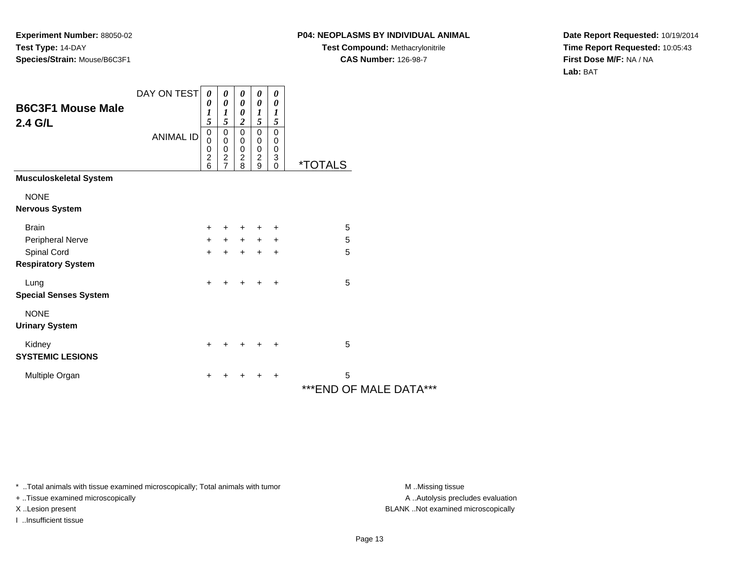### **P04: NEOPLASMS BY INDIVIDUAL ANIMAL**

**Test Compound:** Methacrylonitrile**CAS Number:** 126-98-7

**Date Report Requested:** 10/19/2014**Time Report Requested:** 10:05:43**First Dose M/F:** NA / NA**Lab:** BAT

| <b>B6C3F1 Mouse Male</b><br>2.4 G/L      | DAY ON TEST      | 0<br>0<br>$\boldsymbol{l}$<br>5              | 0<br>0<br>$\boldsymbol{l}$<br>5                                   | 0<br>$\boldsymbol{\theta}$<br>$\boldsymbol{\theta}$<br>$\boldsymbol{2}$ | 0<br>$\boldsymbol{\theta}$<br>$\boldsymbol{l}$<br>5  | 0<br>0<br>$\boldsymbol{l}$<br>5                                   |                              |
|------------------------------------------|------------------|----------------------------------------------|-------------------------------------------------------------------|-------------------------------------------------------------------------|------------------------------------------------------|-------------------------------------------------------------------|------------------------------|
|                                          | <b>ANIMAL ID</b> | $\mathbf 0$<br>0<br>0<br>$\overline{c}$<br>6 | $\mathbf 0$<br>0<br>$\,0\,$<br>$\boldsymbol{2}$<br>$\overline{7}$ | $\mathbf 0$<br>0<br>$\pmb{0}$<br>$\boldsymbol{2}$<br>8                  | $\mathbf 0$<br>0<br>$\pmb{0}$<br>$\overline{2}$<br>9 | $\mathbf 0$<br>0<br>0<br>$\ensuremath{\mathsf{3}}$<br>$\mathbf 0$ | <i><b>*TOTALS</b></i>        |
| <b>Musculoskeletal System</b>            |                  |                                              |                                                                   |                                                                         |                                                      |                                                                   |                              |
| <b>NONE</b><br><b>Nervous System</b>     |                  |                                              |                                                                   |                                                                         |                                                      |                                                                   |                              |
| <b>Brain</b>                             |                  | +                                            | +                                                                 | +                                                                       |                                                      | +                                                                 | 5                            |
| Peripheral Nerve                         |                  | +                                            | $+$                                                               | $+$                                                                     | $+$                                                  | $\ddot{}$                                                         | 5                            |
| Spinal Cord<br><b>Respiratory System</b> |                  | $\ddot{}$                                    | $\ddot{}$                                                         | +                                                                       | $\ddot{}$                                            | $\ddot{}$                                                         | 5                            |
| Lung<br><b>Special Senses System</b>     |                  | $\ddot{}$                                    | +                                                                 | $\ddot{}$                                                               | $\ddot{}$                                            | $\ddot{}$                                                         | 5                            |
| <b>NONE</b><br><b>Urinary System</b>     |                  |                                              |                                                                   |                                                                         |                                                      |                                                                   |                              |
| Kidney<br><b>SYSTEMIC LESIONS</b>        |                  | $\ddot{}$                                    | +                                                                 | ÷                                                                       | $\pm$                                                | $\ddot{}$                                                         | 5                            |
| Multiple Organ                           |                  | +                                            | +                                                                 | +                                                                       | $\ddot{}$                                            | $\ddot{}$                                                         | 5<br>*** END OF MALE DATA*** |

\* ..Total animals with tissue examined microscopically; Total animals with tumor **M** . Missing tissue M ..Missing tissue

+ ..Tissue examined microscopically

I ..Insufficient tissue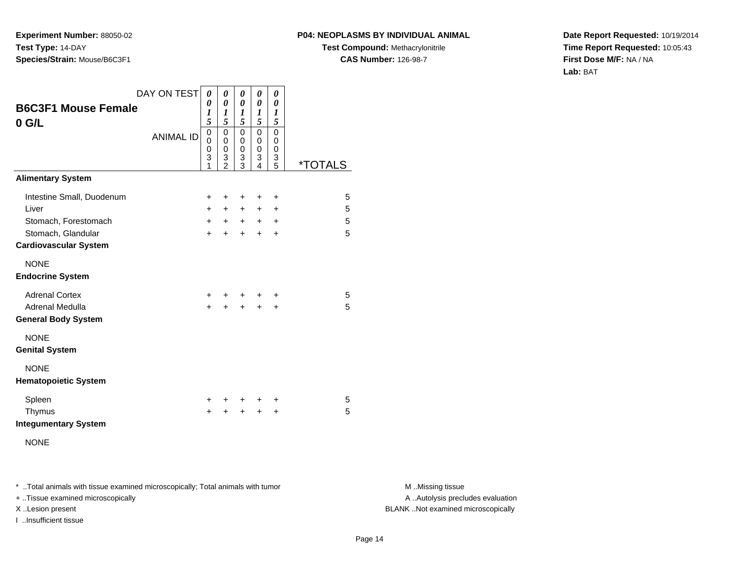#### **P04: NEOPLASMS BY INDIVIDUAL ANIMAL**

**Test Compound:** Methacrylonitrile**CAS Number:** 126-98-7

**Date Report Requested:** 10/19/2014**Time Report Requested:** 10:05:43**First Dose M/F:** NA / NA**Lab:** BAT

| <b>B6C3F1 Mouse Female</b><br>$0$ G/L                                            | DAY ON TEST      | 0<br>0<br>1                                    | 0<br>0<br>1                                                           | 0<br>0<br>1                          | 0<br>0<br>1                                    | 0<br>0<br>1                                      |                       |
|----------------------------------------------------------------------------------|------------------|------------------------------------------------|-----------------------------------------------------------------------|--------------------------------------|------------------------------------------------|--------------------------------------------------|-----------------------|
|                                                                                  | <b>ANIMAL ID</b> | 5<br>$\mathsf 0$<br>$\mathbf 0$<br>0<br>3<br>1 | 5<br>$\mathbf 0$<br>$\mathbf 0$<br>$\mathbf 0$<br>3<br>$\mathfrak{p}$ | 5<br>0<br>0<br>$\mathbf 0$<br>3<br>3 | 5<br>$\mathbf 0$<br>$\mathbf 0$<br>0<br>3<br>4 | 5<br>0<br>$\mathbf 0$<br>$\mathbf 0$<br>3<br>5   | <i><b>*TOTALS</b></i> |
| <b>Alimentary System</b>                                                         |                  |                                                |                                                                       |                                      |                                                |                                                  |                       |
| Intestine Small, Duodenum<br>Liver<br>Stomach, Forestomach<br>Stomach, Glandular |                  | $\pm$<br>$+$<br>$+$<br>$\ddot{}$               | +<br>$+$<br>$+$<br>$+$                                                | ÷<br>$+$<br>$+$<br>$\ddot{}$         | ٠<br>+<br>$+$<br>$\ddot{}$                     | $\ddot{}$<br>$\ddot{}$<br>$\ddot{}$<br>$\ddot{}$ | 5<br>5<br>5<br>5      |
| <b>Cardiovascular System</b>                                                     |                  |                                                |                                                                       |                                      |                                                |                                                  |                       |
| <b>NONE</b><br><b>Endocrine System</b>                                           |                  |                                                |                                                                       |                                      |                                                |                                                  |                       |
| <b>Adrenal Cortex</b><br><b>Adrenal Medulla</b><br><b>General Body System</b>    |                  | $\pm$<br>$\ddot{}$                             | +                                                                     | $\ddot{}$                            | ٠<br>$\ddot{}$                                 | ÷<br>$\ddot{}$                                   | 5<br>5                |
| <b>NONE</b><br><b>Genital System</b>                                             |                  |                                                |                                                                       |                                      |                                                |                                                  |                       |
| <b>NONE</b><br><b>Hematopoietic System</b>                                       |                  |                                                |                                                                       |                                      |                                                |                                                  |                       |
| Spleen<br>Thymus<br><b>Integumentary System</b>                                  |                  | ÷<br>+                                         | ٠                                                                     | ٠                                    | ٠<br>+                                         | +<br>$\ddot{}$                                   | 5<br>5                |
| <b>NONE</b>                                                                      |                  |                                                |                                                                       |                                      |                                                |                                                  |                       |

\* ..Total animals with tissue examined microscopically; Total animals with tumor **M** . Missing tissue M ..Missing tissue

+ ..Tissue examined microscopically

I ..Insufficient tissue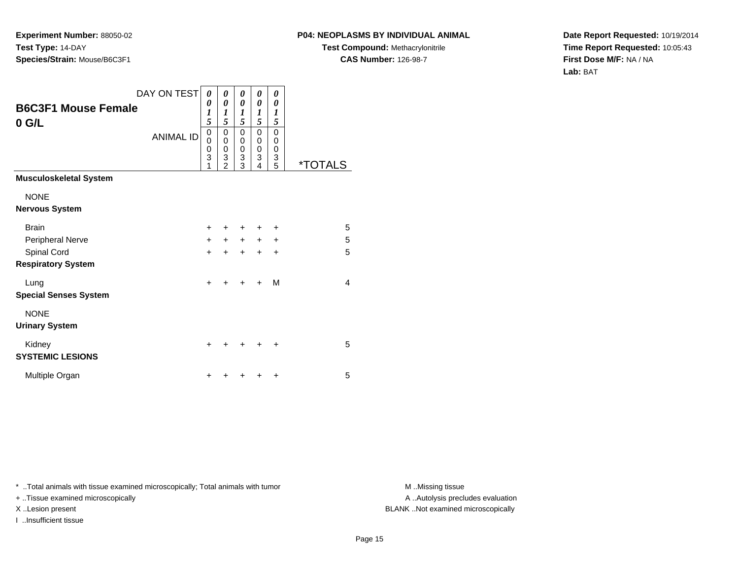## **P04: NEOPLASMS BY INDIVIDUAL ANIMAL**

**Test Compound:** Methacrylonitrile**CAS Number:** 126-98-7

**Date Report Requested:** 10/19/2014**Time Report Requested:** 10:05:43**First Dose M/F:** NA / NA**Lab:** BAT

|                                          | DAY ON TEST      | 0                     | 0                                  | 0                     | 0                                                   | 0                                         |                       |
|------------------------------------------|------------------|-----------------------|------------------------------------|-----------------------|-----------------------------------------------------|-------------------------------------------|-----------------------|
| <b>B6C3F1 Mouse Female</b><br>$0$ G/L    |                  | 0<br>1<br>5           | 0<br>1<br>5                        | 0<br>1<br>5           | 0<br>1<br>5                                         | 0<br>$\boldsymbol{l}$<br>5                |                       |
|                                          | <b>ANIMAL ID</b> | 0<br>0<br>0<br>3<br>1 | 0<br>0<br>0<br>3<br>$\overline{2}$ | 0<br>0<br>0<br>3<br>3 | $\mathbf 0$<br>$\mathbf 0$<br>$\mathbf 0$<br>3<br>4 | $\mathbf 0$<br>0<br>$\mathbf 0$<br>3<br>5 | <i><b>*TOTALS</b></i> |
| <b>Musculoskeletal System</b>            |                  |                       |                                    |                       |                                                     |                                           |                       |
| <b>NONE</b><br><b>Nervous System</b>     |                  |                       |                                    |                       |                                                     |                                           |                       |
| <b>Brain</b>                             |                  | $\ddot{}$             |                                    | +                     | +                                                   | ÷                                         | 5                     |
| Peripheral Nerve                         |                  | $+$                   | $+$                                | $+$                   | $\ddot{}$                                           | $\ddot{}$                                 | 5                     |
| Spinal Cord<br><b>Respiratory System</b> |                  | $+$                   | $\ddot{}$                          | $\ddot{}$             | $\ddot{}$                                           | $\ddot{}$                                 | 5                     |
| Lung<br><b>Special Senses System</b>     |                  | $\ddot{}$             | ÷                                  | $\ddot{}$             | $\div$                                              | м                                         | $\overline{4}$        |
| <b>NONE</b><br><b>Urinary System</b>     |                  |                       |                                    |                       |                                                     |                                           |                       |
| Kidney<br><b>SYSTEMIC LESIONS</b>        |                  | $\ddot{}$             |                                    | +                     | +                                                   | ÷                                         | 5                     |
| Multiple Organ                           |                  | +                     |                                    | ┿                     | +                                                   | ٠                                         | 5                     |

\* ..Total animals with tissue examined microscopically; Total animals with tumor **M** . Missing tissue M ..Missing tissue

+ ..Tissue examined microscopically

I ..Insufficient tissue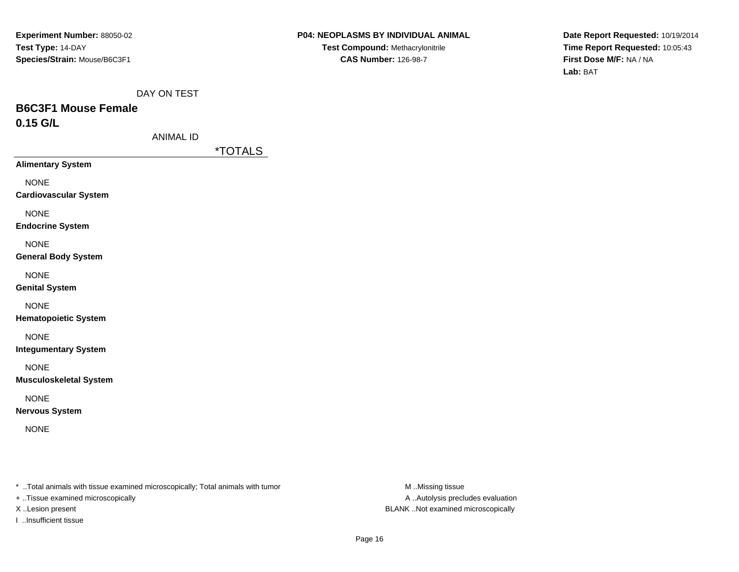**Date Report Requested:** 10/19/2014**Time Report Requested:** 10:05:43**First Dose M/F:** NA / NA**Lab:** BAT

DAY ON TEST

# **B6C3F1 Mouse Female0.15 G/L**

ANIMAL ID

\*TOTALS

**Alimentary System**

NONE

**Cardiovascular System**

NONE

**Endocrine System**

NONE

**General Body System**

NONE

**Genital System**

NONE

**Hematopoietic System**

NONE

**Integumentary System**

NONE

**Musculoskeletal System**

NONE

**Nervous System**

NONE

\* ..Total animals with tissue examined microscopically; Total animals with tumor **M** ..Missing tissue M ..Missing tissue

+ ..Tissue examined microscopically

I ..Insufficient tissue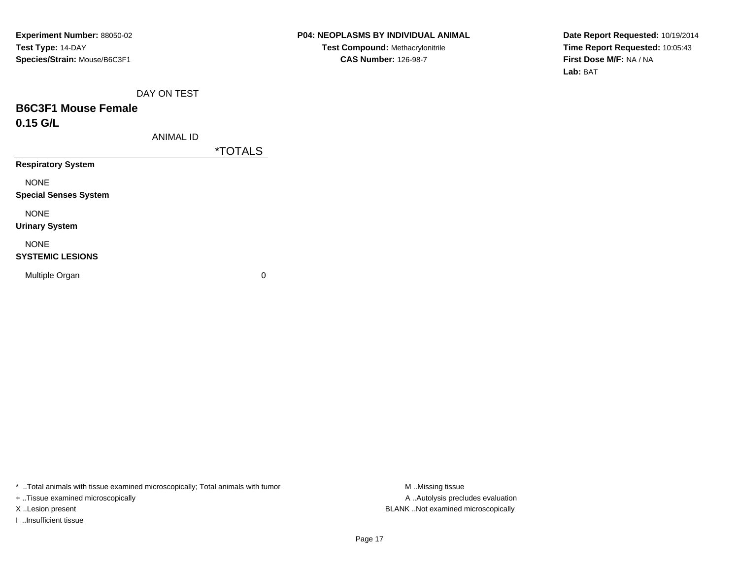**Date Report Requested:** 10/19/2014**Time Report Requested:** 10:05:43**First Dose M/F:** NA / NA**Lab:** BAT

DAY ON TEST

# **B6C3F1 Mouse Female0.15 G/L**

ANIMAL ID

\*TOTALS

**Respiratory System**

NONE

**Special Senses System**

NONE

**Urinary System**

NONE

#### **SYSTEMIC LESIONS**

Multiple Organ

 $\mathbf n$  0

\* ..Total animals with tissue examined microscopically; Total animals with tumor **M** ...Missing tissue M ...Missing tissue

+ ..Tissue examined microscopically

I ..Insufficient tissue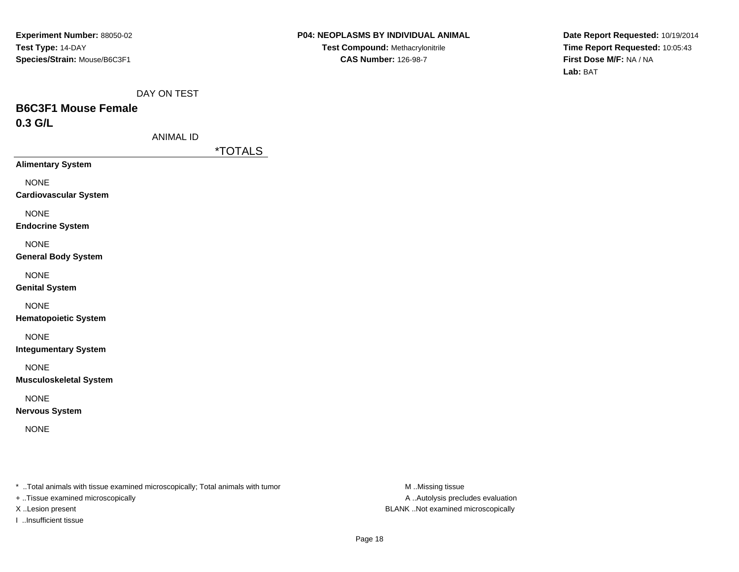**Date Report Requested:** 10/19/2014**Time Report Requested:** 10:05:43**First Dose M/F:** NA / NA**Lab:** BAT

DAY ON TEST

# **B6C3F1 Mouse Female0.3 G/L**

\*TOTALS

**Alimentary System**

NONE

**Cardiovascular System**

NONE

**Endocrine System**

NONE

**General Body System**

NONE

**Genital System**

NONE

**Hematopoietic System**

NONE

**Integumentary System**

NONE

**Musculoskeletal System**

NONE

**Nervous System**

NONE

\* ..Total animals with tissue examined microscopically; Total animals with tumor **M** ..Missing tissue M ..Missing tissue

+ ..Tissue examined microscopically

I ..Insufficient tissue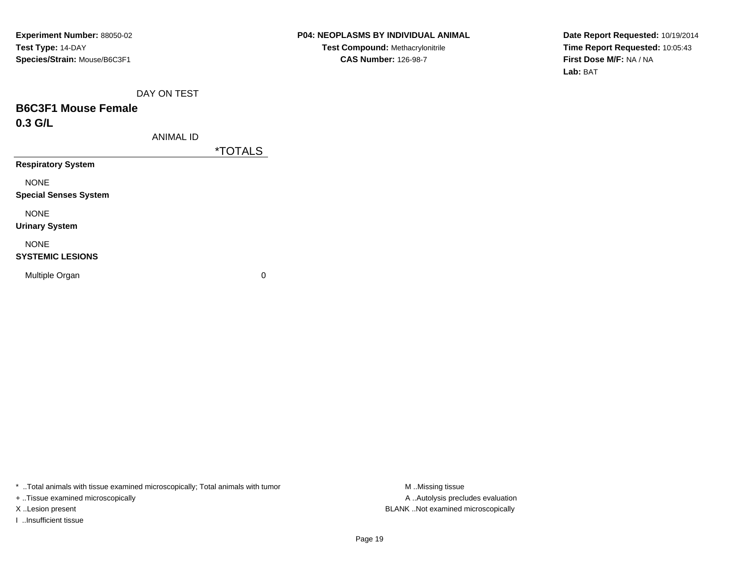**Date Report Requested:** 10/19/2014**Time Report Requested:** 10:05:43**First Dose M/F:** NA / NA**Lab:** BAT

DAY ON TEST

# **B6C3F1 Mouse Female0.3 G/L**

ANIMAL ID

\*TOTALS

**Respiratory System**

NONE

**Special Senses System**

NONE

**Urinary System**

NONE

#### **SYSTEMIC LESIONS**

Multiple Organ

 $\mathbf n$  0

\* ..Total animals with tissue examined microscopically; Total animals with tumor **M** ...Missing tissue M ...Missing tissue

+ ..Tissue examined microscopically

I ..Insufficient tissue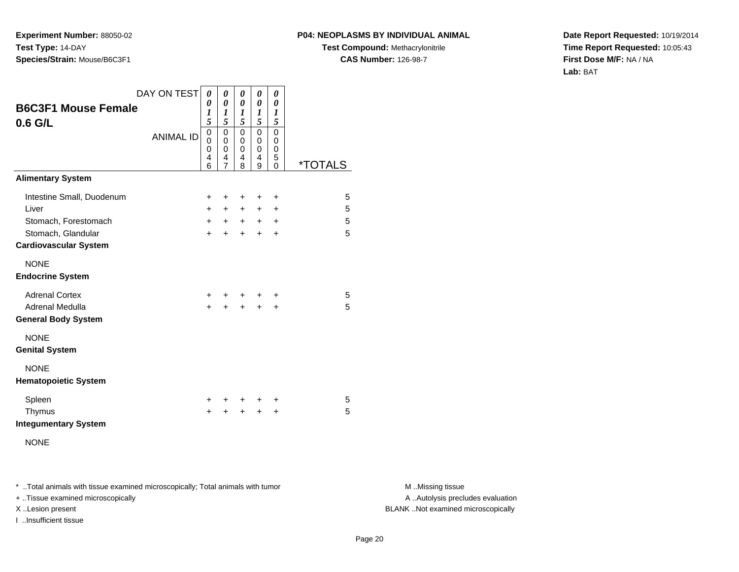#### **P04: NEOPLASMS BY INDIVIDUAL ANIMAL**

**Test Compound:** Methacrylonitrile**CAS Number:** 126-98-7

**Date Report Requested:** 10/19/2014**Time Report Requested:** 10:05:43**First Dose M/F:** NA / NA**Lab:** BAT

| <b>B6C3F1 Mouse Female</b><br>$0.6$ G/L                                          | DAY ON TEST<br><b>ANIMAL ID</b> | 0<br>0<br>1<br>5<br>$\mathbf 0$<br>$\Omega$<br>0<br>4<br>6 | 0<br>$\boldsymbol{\theta}$<br>1<br>5<br>$\mathbf 0$<br>0<br>$\mathbf 0$<br>4<br>7 | 0<br>0<br>1<br>5<br>$\Omega$<br>$\mathbf 0$<br>0<br>4<br>8 | 0<br>0<br>1<br>5<br>0<br>$\mathbf 0$<br>0<br>4<br>9 | 0<br>$\theta$<br>$\boldsymbol{l}$<br>5<br>0<br>$\mathbf 0$<br>0<br>5<br>0 | <i><b>*TOTALS</b></i> |
|----------------------------------------------------------------------------------|---------------------------------|------------------------------------------------------------|-----------------------------------------------------------------------------------|------------------------------------------------------------|-----------------------------------------------------|---------------------------------------------------------------------------|-----------------------|
| <b>Alimentary System</b>                                                         |                                 |                                                            |                                                                                   |                                                            |                                                     |                                                                           |                       |
| Intestine Small, Duodenum<br>Liver<br>Stomach, Forestomach<br>Stomach, Glandular |                                 | $\ddot{}$<br>$+$<br>$+$<br>$+$                             | +<br>$+$<br>$+$<br>$\ddot{}$                                                      | +<br>$+$<br>$+$<br>$+$                                     | +<br>$+$<br>$+$<br>$+$                              | $\ddot{}$<br>$\ddot{}$<br>$\ddot{}$<br>$\ddot{}$                          | 5<br>5<br>5<br>5      |
| <b>Cardiovascular System</b><br><b>NONE</b><br><b>Endocrine System</b>           |                                 |                                                            |                                                                                   |                                                            |                                                     |                                                                           |                       |
| <b>Adrenal Cortex</b><br>Adrenal Medulla<br><b>General Body System</b>           |                                 | $+$<br>$\ddot{}$                                           |                                                                                   | $\ddot{}$                                                  | $\ddot{}$                                           | +<br>+                                                                    | 5<br>5                |
| <b>NONE</b><br><b>Genital System</b>                                             |                                 |                                                            |                                                                                   |                                                            |                                                     |                                                                           |                       |
| <b>NONE</b><br><b>Hematopoietic System</b>                                       |                                 |                                                            |                                                                                   |                                                            |                                                     |                                                                           |                       |
| Spleen<br>Thymus<br><b>Integumentary System</b>                                  |                                 | ÷.<br>+                                                    | +                                                                                 | +                                                          | ÷<br>+                                              | ÷<br>$\ddot{}$                                                            | 5<br>5                |

NONE

\* ..Total animals with tissue examined microscopically; Total animals with tumor **M** . Missing tissue M ..Missing tissue

+ ..Tissue examined microscopically

I ..Insufficient tissue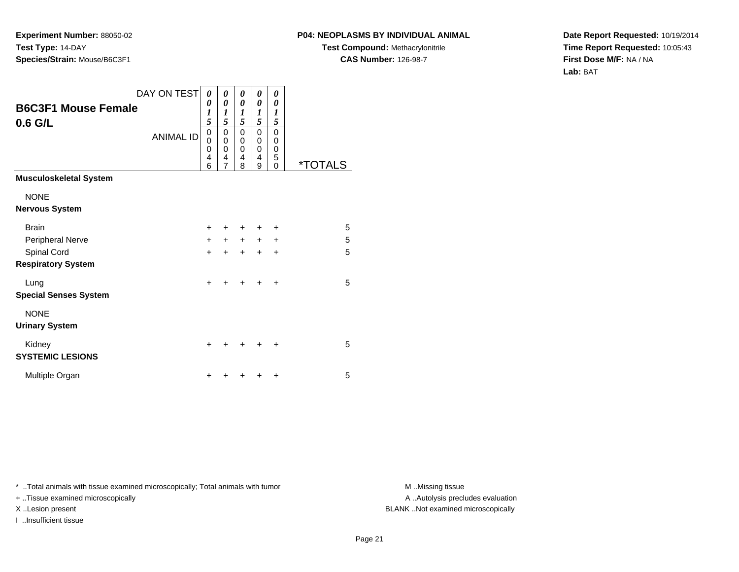## **P04: NEOPLASMS BY INDIVIDUAL ANIMAL**

**Test Compound:** Methacrylonitrile**CAS Number:** 126-98-7

**Date Report Requested:** 10/19/2014**Time Report Requested:** 10:05:43**First Dose M/F:** NA / NA**Lab:** BAT

|                                          | DAY ON TEST      | 0                            | 0                                         | 0                     | 0                                         | 0                                                    |                       |
|------------------------------------------|------------------|------------------------------|-------------------------------------------|-----------------------|-------------------------------------------|------------------------------------------------------|-----------------------|
| <b>B6C3F1 Mouse Female</b><br>$0.6$ G/L  |                  | 0<br>1<br>5                  | 0<br>1<br>5                               | 0<br>1<br>5           | $\boldsymbol{\theta}$<br>1<br>5           | 0<br>1<br>5                                          |                       |
|                                          | <b>ANIMAL ID</b> | 0<br>$\Omega$<br>0<br>4<br>6 | 0<br>$\mathbf 0$<br>$\mathbf 0$<br>4<br>7 | 0<br>0<br>0<br>4<br>8 | 0<br>$\mathbf 0$<br>$\mathbf 0$<br>4<br>9 | 0<br>$\mathbf 0$<br>$\mathbf 0$<br>5<br>$\mathbf{0}$ | <i><b>*TOTALS</b></i> |
| <b>Musculoskeletal System</b>            |                  |                              |                                           |                       |                                           |                                                      |                       |
| <b>NONE</b><br><b>Nervous System</b>     |                  |                              |                                           |                       |                                           |                                                      |                       |
| <b>Brain</b>                             |                  | $\ddot{}$                    |                                           | +                     | +                                         | ٠                                                    | 5                     |
| Peripheral Nerve                         |                  | $+$                          | $+$                                       | $\ddot{}$             | $\ddot{}$                                 | $\ddot{}$                                            | 5                     |
| Spinal Cord<br><b>Respiratory System</b> |                  | $\ddot{}$                    | $\ddot{}$                                 | $\ddot{}$             | $\ddot{}$                                 | $\ddot{}$                                            | 5                     |
| Lung<br><b>Special Senses System</b>     |                  | $\ddot{}$                    |                                           | ÷                     | +                                         | $\div$                                               | 5                     |
| <b>NONE</b><br><b>Urinary System</b>     |                  |                              |                                           |                       |                                           |                                                      |                       |
| Kidney<br><b>SYSTEMIC LESIONS</b>        |                  | ٠                            |                                           | ÷                     | +                                         | ÷                                                    | 5                     |
| Multiple Organ                           |                  | ٠                            |                                           |                       | +                                         | ٠                                                    | 5                     |

\* ..Total animals with tissue examined microscopically; Total animals with tumor **M** . Missing tissue M ..Missing tissue

+ ..Tissue examined microscopically

I ..Insufficient tissue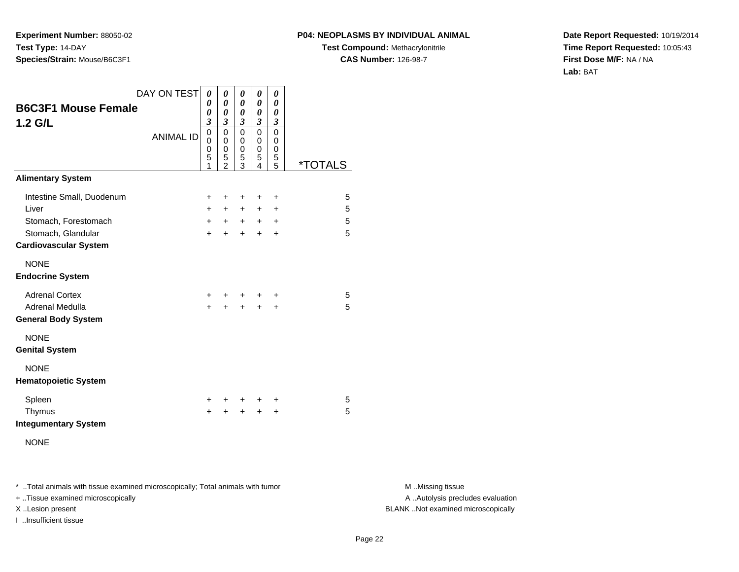#### **P04: NEOPLASMS BY INDIVIDUAL ANIMAL**

**Test Compound:** Methacrylonitrile**CAS Number:** 126-98-7

**Date Report Requested:** 10/19/2014**Time Report Requested:** 10:05:43**First Dose M/F:** NA / NA**Lab:** BAT

| <b>B6C3F1 Mouse Female</b><br>$1.2$ G/L                                                                          | DAY ON TEST<br><b>ANIMAL ID</b> | 0<br>0<br>0<br>$\mathfrak{z}$<br>$\overline{0}$<br>0<br>0<br>5<br>1 | 0<br>0<br>0<br>$\mathfrak{z}$<br>$\mathbf 0$<br>$\mathbf 0$<br>$\mathbf 0$<br>$\frac{5}{2}$ | 0<br>0<br>0<br>3<br>$\mathbf 0$<br>0<br>0<br>5<br>3 | 0<br>0<br>0<br>$\boldsymbol{\beta}$<br>0<br>0<br>0<br>5<br>4 | 0<br>$\boldsymbol{\theta}$<br>$\pmb{\theta}$<br>$\boldsymbol{\beta}$<br>$\mathbf 0$<br>0<br>0<br>5<br>$\overline{5}$ | <i><b>*TOTALS</b></i> |
|------------------------------------------------------------------------------------------------------------------|---------------------------------|---------------------------------------------------------------------|---------------------------------------------------------------------------------------------|-----------------------------------------------------|--------------------------------------------------------------|----------------------------------------------------------------------------------------------------------------------|-----------------------|
| <b>Alimentary System</b>                                                                                         |                                 |                                                                     |                                                                                             |                                                     |                                                              |                                                                                                                      |                       |
| Intestine Small, Duodenum<br>Liver<br>Stomach, Forestomach<br>Stomach, Glandular<br><b>Cardiovascular System</b> |                                 | $\ddot{}$<br>$+$<br>$+$<br>$\ddot{}$                                | +<br>$+$<br>$+$<br>$\ddot{}$                                                                | ٠<br>$+$<br>$+$<br>$\ddot{}$                        | +<br>$\pm$<br>$+$<br>$\ddot{}$                               | $\ddot{}$<br>$\ddot{}$<br>$\ddot{}$<br>$\ddot{}$                                                                     | 5<br>5<br>5<br>5      |
| <b>NONE</b><br><b>Endocrine System</b>                                                                           |                                 |                                                                     |                                                                                             |                                                     |                                                              |                                                                                                                      |                       |
| <b>Adrenal Cortex</b><br>Adrenal Medulla<br><b>General Body System</b>                                           |                                 | $\pm$<br>$\ddot{}$                                                  | +                                                                                           | +                                                   | $\ddot{}$                                                    | ÷<br>$\ddot{}$                                                                                                       | 5<br>5                |
| <b>NONE</b><br><b>Genital System</b>                                                                             |                                 |                                                                     |                                                                                             |                                                     |                                                              |                                                                                                                      |                       |
| <b>NONE</b><br><b>Hematopoietic System</b>                                                                       |                                 |                                                                     |                                                                                             |                                                     |                                                              |                                                                                                                      |                       |
| Spleen<br>Thymus<br><b>Integumentary System</b><br><b>NONE</b>                                                   |                                 | $\pm$<br>$\ddot{}$                                                  | ÷.<br>+                                                                                     | +                                                   | +<br>$\ddot{}$                                               | +<br>+                                                                                                               | 5<br>5                |

\* ..Total animals with tissue examined microscopically; Total animals with tumor **M** . Missing tissue M ..Missing tissue

+ ..Tissue examined microscopically

I ..Insufficient tissue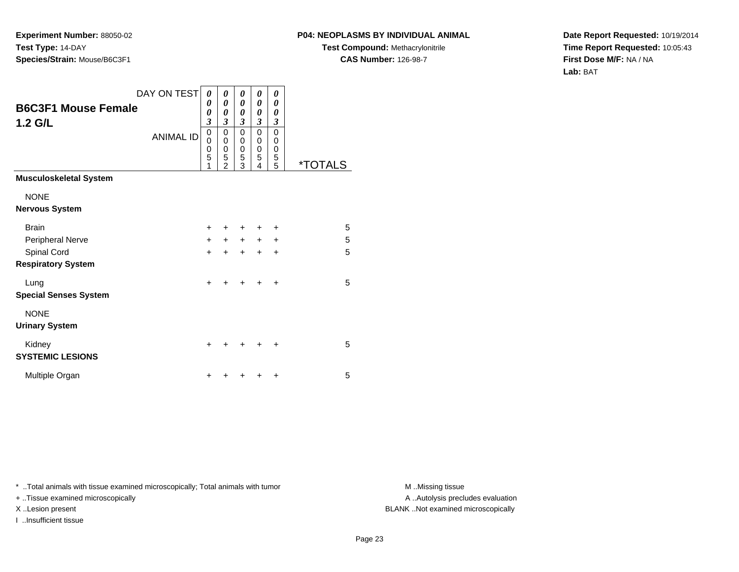## **P04: NEOPLASMS BY INDIVIDUAL ANIMAL**

**Test Compound:** Methacrylonitrile**CAS Number:** 126-98-7

**Date Report Requested:** 10/19/2014**Time Report Requested:** 10:05:43**First Dose M/F:** NA / NA**Lab:** BAT

|                                          | DAY ON TEST      | 0                     | 0                                  | 0                        | 0                        | 0                     |                       |
|------------------------------------------|------------------|-----------------------|------------------------------------|--------------------------|--------------------------|-----------------------|-----------------------|
| <b>B6C3F1 Mouse Female</b><br>1.2 G/L    |                  | 0<br>0<br>3           | 0<br>0<br>3                        | 0<br>0<br>$\mathfrak{z}$ | 0<br>0<br>$\mathfrak{z}$ | 0<br>0<br>3           |                       |
|                                          | <b>ANIMAL ID</b> | 0<br>0<br>0<br>5<br>1 | 0<br>0<br>0<br>5<br>$\overline{2}$ | 0<br>0<br>0<br>5<br>3    | 0<br>0<br>0<br>5<br>4    | 0<br>0<br>0<br>5<br>5 | <i><b>*TOTALS</b></i> |
| <b>Musculoskeletal System</b>            |                  |                       |                                    |                          |                          |                       |                       |
| <b>NONE</b><br><b>Nervous System</b>     |                  |                       |                                    |                          |                          |                       |                       |
| <b>Brain</b>                             |                  | $\div$                |                                    | ÷                        | +                        | +                     | 5                     |
| Peripheral Nerve                         |                  | $+$                   | $\ddot{}$                          | $+$                      | $+$                      | $\ddot{}$             | 5                     |
| Spinal Cord<br><b>Respiratory System</b> |                  | +                     | ÷                                  | $\ddot{}$                | $\ddot{}$                | $\ddot{}$             | 5                     |
| Lung<br><b>Special Senses System</b>     |                  | $\ddot{}$             |                                    | $\div$                   | ÷                        | $\ddot{}$             | 5                     |
| <b>NONE</b><br><b>Urinary System</b>     |                  |                       |                                    |                          |                          |                       |                       |
| Kidney<br><b>SYSTEMIC LESIONS</b>        |                  | +                     |                                    | +                        |                          | ٠                     | 5                     |
| Multiple Organ                           |                  | +                     |                                    |                          |                          | $\ddot{}$             | 5                     |

\* ..Total animals with tissue examined microscopically; Total animals with tumor **M** . Missing tissue M ..Missing tissue

+ ..Tissue examined microscopically

I ..Insufficient tissue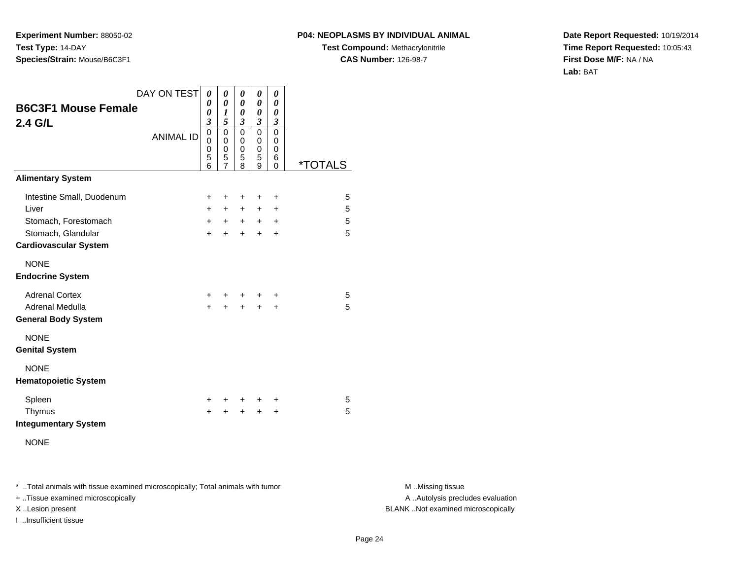#### **P04: NEOPLASMS BY INDIVIDUAL ANIMAL**

**Test Compound:** Methacrylonitrile**CAS Number:** 126-98-7

**Date Report Requested:** 10/19/2014**Time Report Requested:** 10:05:43**First Dose M/F:** NA / NA**Lab:** BAT

| <b>B6C3F1 Mouse Female</b><br>2.4 G/L                                                                            | DAY ON TEST      | 0<br>0<br>0<br>$\mathfrak{z}$        | 0<br>$\boldsymbol{\theta}$<br>1<br>5         | 0<br>0<br>0<br>$\overline{\mathbf{3}}$ | 0<br>0<br>0<br>3             | 0<br>0<br>0<br>3                                 |                       |  |
|------------------------------------------------------------------------------------------------------------------|------------------|--------------------------------------|----------------------------------------------|----------------------------------------|------------------------------|--------------------------------------------------|-----------------------|--|
|                                                                                                                  | <b>ANIMAL ID</b> | $\overline{0}$<br>0<br>0<br>5<br>6   | 0<br>0<br>$\mathbf 0$<br>5<br>$\overline{7}$ | 0<br>0<br>0<br>5<br>8                  | 0<br>0<br>0<br>5<br>9        | $\mathbf 0$<br>0<br>0<br>6<br>$\Omega$           | <i><b>*TOTALS</b></i> |  |
| <b>Alimentary System</b>                                                                                         |                  |                                      |                                              |                                        |                              |                                                  |                       |  |
| Intestine Small, Duodenum<br>Liver<br>Stomach, Forestomach<br>Stomach, Glandular<br><b>Cardiovascular System</b> |                  | $\ddot{}$<br>$+$<br>$+$<br>$\ddot{}$ | +<br>$+$<br>$+$<br>$\ddot{}$                 | +<br>$+$<br>$+$<br>$\ddot{}$           | +<br>$+$<br>$+$<br>$\ddot{}$ | $\ddot{}$<br>$\ddot{}$<br>$\ddot{}$<br>$\ddot{}$ | 5<br>5<br>5<br>5      |  |
| <b>NONE</b><br><b>Endocrine System</b>                                                                           |                  |                                      |                                              |                                        |                              |                                                  |                       |  |
| <b>Adrenal Cortex</b><br><b>Adrenal Medulla</b><br><b>General Body System</b>                                    |                  | $\pm$<br>$\ddot{}$                   | +                                            | +                                      | $\ddot{}$                    | ÷<br>$\ddot{}$                                   | 5<br>5                |  |
| <b>NONE</b><br><b>Genital System</b>                                                                             |                  |                                      |                                              |                                        |                              |                                                  |                       |  |
| <b>NONE</b><br><b>Hematopoietic System</b>                                                                       |                  |                                      |                                              |                                        |                              |                                                  |                       |  |
| Spleen<br>Thymus<br><b>Integumentary System</b><br><b>NONE</b>                                                   |                  | $\pm$<br>+                           | +<br>+                                       | $\pm$                                  | +<br>$\ddot{}$               | +<br>+                                           | 5<br>5                |  |

\* ..Total animals with tissue examined microscopically; Total animals with tumor **M** . Missing tissue M ..Missing tissue

+ ..Tissue examined microscopically

I ..Insufficient tissue